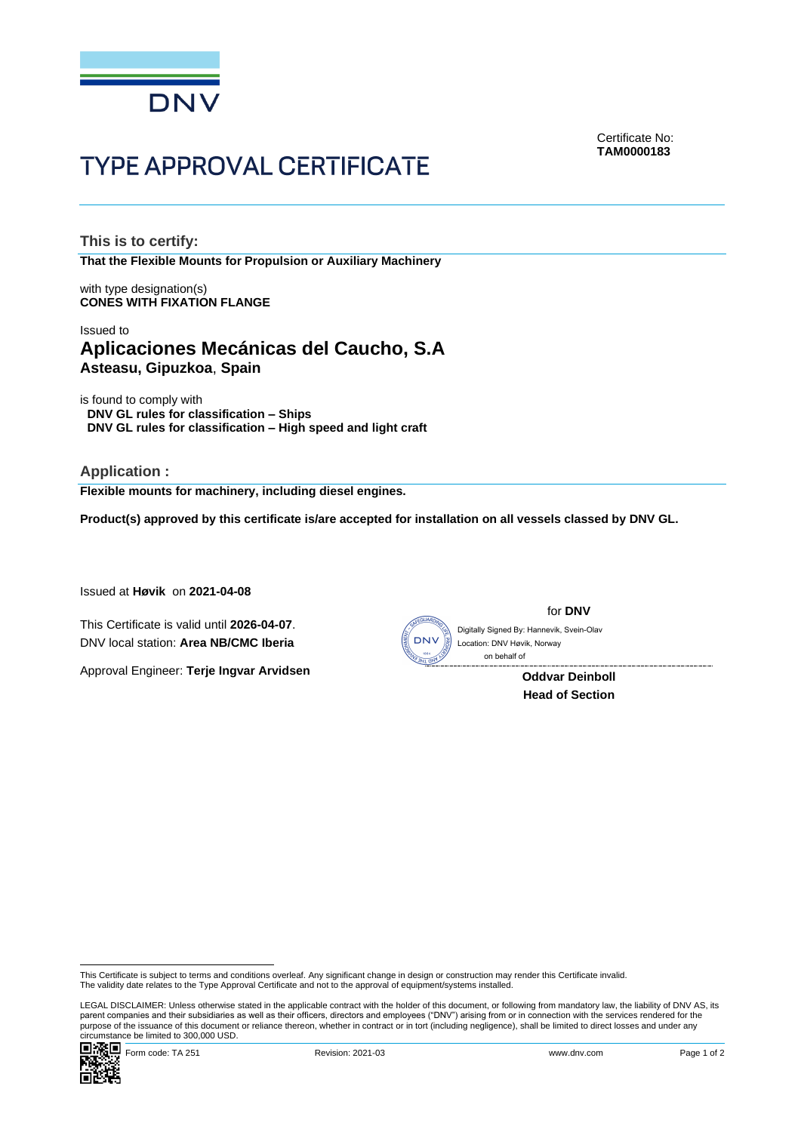

**TYPE APPROVAL CERTIFICATE** 

Certificate No: **TAM0000183**

**This is to certify: That the Flexible Mounts for Propulsion or Auxiliary Machinery**

with type designation(s) **CONES WITH FIXATION FLANGE**

# Issued to **Aplicaciones Mecánicas del Caucho, S.A Asteasu, Gipuzkoa**, **Spain**

is found to comply with **DNV GL rules for classification – Ships DNV GL rules for classification – High speed and light craft**

**Application : Flexible mounts for machinery, including diesel engines.**

**Product(s) approved by this certificate is/are accepted for installation on all vessels classed by DNV GL.**

Issued at **Høvik** on **2021-04-08**

This Certificate is valid until **2026-04-07**. DNV local station: **Area NB/CMC Iberia**

Approval Engineer: **Terje Ingvar Arvidsen**



for **DNV**

Digitally Signed By: Hannevik, Svein-Olav Location: DNV Høvik, Norway on behalf of

> **Oddvar Deinboll Head of Section**

LEGAL DISCLAIMER: Unless otherwise stated in the applicable contract with the holder of this document, or following from mandatory law, the liability of DNV AS, its<br>parent companies and their subsidiaries as well as their purpose of the issuance of this document or reliance thereon, whether in contract or in tort (including negligence), shall be limited to direct losses and under any circumstance be limited to 300,000 USD.



This Certificate is subject to terms and conditions overleaf. Any significant change in design or construction may render this Certificate invalid.<br>The validity date relates to the Type Approval Certificate and not to the